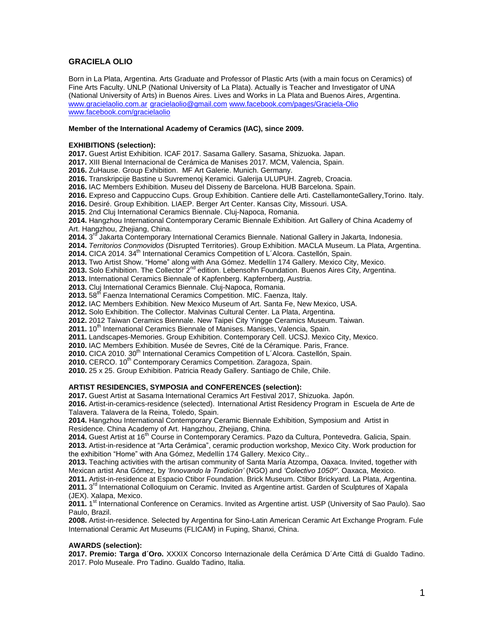# **GRACIELA OLIO**

Born in La Plata, Argentina. Arts Graduate and Professor of Plastic Arts (with a main focus on Ceramics) of Fine Arts Faculty. UNLP (National University of La Plata). Actually is Teacher and Investigator of UNA (National University of Arts) in Buenos Aires. Lives and Works in La Plata and Buenos Aires, Argentina. [www.gracielaolio.com.ar](http://www.gracielaolio.com.ar/) [gracielaolio@gmail.com](mailto:gracielaolio@gmail.com) [www.facebook.com/pages/Graciela-Olio](http://www.facebook.com/pages/Graciela-Olio) [www.facebook.com/gracielaolio](http://www.facebook.com/gracielaolio)

#### **Member of the International Academy of Ceramics (IAC), since 2009.**

### **EXHIBITIONS (selection):**

**2017.** Guest Artist Exhibition. ICAF 2017. Sasama Gallery. Sasama, Shizuoka. Japan.

**2017.** XIII Bienal Internacional de Cerámica de Manises 2017. MCM, Valencia, Spain.

**2016.** ZuHause. Group Exhibition. MF Art Galerie. Munich. Germany.

**2016.** Transkripcije Bastine u Suvremenoj Keramici. Galerija ULUPUH. Zagreb, Croacia.

**2016.** IAC Members Exhibition. Museu del Disseny de Barcelona. HUB Barcelona. Spain.

**2016.** Expreso and Cappuccino Cups. Group Exhibition. Cantiere delle Arti. CastellamonteGallery,Torino. Italy.

**2016.** Desiré. Group Exhibition. LIAEP. Berger Art Center. Kansas City, Missouri. USA.

**2015**. 2nd Cluj International Ceramics Biennale. Cluj-Napoca, Romania.

**2014.** Hangzhou International Contemporary Ceramic Biennale Exhibition. Art Gallery of China Academy of Art. Hangzhou, Zhejiang, China.

**2014.** 3 rd Jakarta Contemporary International Ceramics Biennale. National Gallery in Jakarta, Indonesia.

**2014.** *Territorios Conmovidos* (Disrupted Territories). Group Exhibition. MACLA Museum. La Plata, Argentina.

2014. CICA 2014. 34<sup>th</sup> International Ceramics Competition of L'Alcora. Castellón, Spain.

**2013.** Two Artist Show. "Home" along with Ana Gómez. Medellín 174 Gallery. Mexico City, Mexico.

**2013.** Solo Exhibition. The Collector 2nd edition. Lebensohn Foundation. Buenos Aires City, Argentina.

**2013.** International Ceramics Biennale of Kapfenberg. Kapfernberg, Austria.

**2013.** Cluj International Ceramics Biennale. Cluj-Napoca, Romania.

**2013.** 58<sup>th</sup> Faenza International Ceramics Competition. MIC. Faenza, Italy.

**2012.** IAC Members Exhibition. New Mexico Museum of Art. Santa Fe, New Mexico, USA.

**2012.** Solo Exhibition. The Collector. Malvinas Cultural Center. La Plata, Argentina.

**2012.** 2012 Taiwan Ceramics Biennale. New Taipei City Yingge Ceramics Museum. Taiwan.

2011. 10<sup>th</sup> International Ceramics Biennale of Manises. Manises, Valencia, Spain.

**2011.** Landscapes-Memories. Group Exhibition. Contemporary Cell. UCSJ. Mexico City, Mexico.

**2010.** IAC Members Exhibition. Musée de Sevres, Cité de la Céramique. Paris, France.

2010. CICA 2010. 30<sup>th</sup> International Ceramics Competition of L'Alcora. Castellón, Spain.

2010. CERCO. 10<sup>th</sup> Contemporary Ceramics Competition. Zaragoza, Spain.

**2010.** 25 x 25. Group Exhibition. Patricia Ready Gallery. Santiago de Chile, Chile.

### **ARTIST RESIDENCIES, SYMPOSIA and CONFERENCES (selection):**

**2017.** Guest Artist at Sasama International Ceramics Art Festival 2017, Shizuoka. Japón.

**2016.** Artist-in-ceramics-residence (selected). International Artist Residency Program in Escuela de Arte de Talavera. Talavera de la Reina, Toledo, Spain.

**2014.** Hangzhou International Contemporary Ceramic Biennale Exhibition, Symposium and Artist in Residence. China Academy of Art. Hangzhou, Zhejiang, China.

2014. Guest Artist at 16<sup>th</sup> Course in Contemporary Ceramics. Pazo da Cultura, Pontevedra. Galicia, Spain. **2013.** Artist-in-residence at "Arta Cerámica", ceramic production workshop, Mexico City. Work production for the exhibition "Home" with Ana Gómez, Medellín 174 Gallery. Mexico City..

**2013.** Teaching activities with the artisan community of Santa María Atzompa, Oaxaca. Invited, together with Mexican artist Ana Gómez, by *'Innovando la Tradición'* (NGO) and *'Colectivo 1050º'*. Oaxaca, Mexico.

**2011.** Artist-in-residence at Espacio Ctibor Foundation. Brick Museum. Ctibor Brickyard. La Plata, Argentina. 2011. 3<sup>rd</sup> International Colloquium on Ceramic. Invited as Argentine artist. Garden of Sculptures of Xapala (JEX). Xalapa, Mexico.

**2011.** 1 st International Conference on Ceramics. Invited as Argentine artist. USP (University of Sao Paulo). Sao Paulo, Brazil.

**2008.** Artist-in-residence. Selected by Argentina for Sino-Latin American Ceramic Art Exchange Program. Fule International Ceramic Art Museums (FLICAM) in Fuping, Shanxi, China.

### **AWARDS (selection):**

**2017. Premio: Targa d´Oro.** XXXIX Concorso Internazionale della Cerámica D´Arte Cittá di Gualdo Tadino. 2017. Polo Museale. Pro Tadino. Gualdo Tadino, Italia.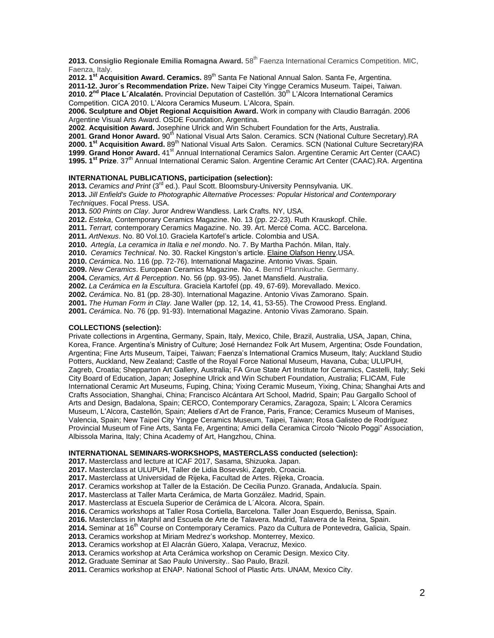2013. Consiglio Regionale Emilia Romagna Award. 58<sup>th</sup> Faenza International Ceramics Competition. MIC, Faenza, Italy.

2012. 1<sup>st</sup> Acquisition Award. Ceramics. 89<sup>th</sup> Santa Fe National Annual Salon. Santa Fe, Argentina.

**2011-12. Juror´s Recommendation Prize.** New Taipei City Yingge Ceramics Museum. Taipei, Taiwan.

2010. 2<sup>nd</sup> Place L'Alcalatén. Provincial Deputation of Castellón. 30<sup>th</sup> L'Alcora International Ceramics Competition. CICA 2010. L'Alcora Ceramics Museum. L'Alcora, Spain.

**2006. Sculpture and Objet Regional Acquisition Award.** Work in company with Claudio Barragán. 2006 Argentine Visual Arts Award. OSDE Foundation, Argentina.

**2002**. **Acquisition Award.** Josephine Ulrick and Win Schubert Foundation for the Arts, Australia.

2001. Grand Honor Award. 90<sup>th</sup> National Visual Arts Salon. Ceramics. SCN (National Culture Secretary).RA 2000. 1<sup>st</sup> Acquisition Award. 89<sup>th</sup> National Visual Arts Salon. Ceramics. SCN (National Culture Secretary)RA 1999. Grand Honor Award. 41<sup>st</sup> Annual International Ceramics Salon. Argentine Ceramic Art Center (CAAC) 1995. 1<sup>st</sup> Prize. 37<sup>th</sup> Annual International Ceramic Salon. Argentine Ceramic Art Center (CAAC).RA. Argentina

## **INTERNATIONAL PUBLICATIONS, participation (selection):**

2013. Ceramics and Print (3<sup>rd</sup> ed.). Paul Scott. Bloomsbury-University Pennsylvania. UK. **2013.** *Jill Enfield's Guide to Photographic Alternative Processes: Popular Historical and Contemporary Techniques*. Focal Press. USA.

**2013.** *500 Prints on Clay*. Juror Andrew Wandless. Lark Crafts. NY, USA.

**2012.** *Esteka*, Contemporary Ceramics Magazine. No. 13 (pp. 22-23). Ruth Krauskopf. Chile.

- **2011.** *Terrart,* contemporary Ceramics Magazine. No. 39. Art. Mercé Coma. ACC. Barcelona.
- **2011.** *ArtNexus*. No. 80 Vol.10. Graciela Kartofel's article. Colombia and USA.

**2010.** *Artegía*, *La ceramica in Italia e nel mondo*. No. 7. By Martha Pachón. Milan, Italy.

**2010.** *Ceramics Technical*. No. 30. Rackel Kingston's article. [Elaine Olafson Henry.](http://www.elainehenry.com/)USA.

**2010.** *Cerámica*. No. 116 (pp. 72-76). International Magazine. Antonio Vivas. Spain.

**2009.** *New Ceramics*. European Ceramics Magazine. No. 4. Bernd Pfannkuche. Germany.

**2004.** *Ceramics, Art & Perception*. No. 56 (pp. 93-95). Janet Mansfield. Australia.

**2002.** *La Cerámica en la Escultura*. Graciela Kartofel (pp. 49, 67-69). Morevallado. Mexico.

**2002.** *Cerámica*. No. 81 (pp. 28-30). International Magazine. Antonio Vivas Zamorano. Spain.

**2001.** *The Human Form in Clay.* Jane Waller (pp. 12, 14, 41, 53-55). The Crowood Press. England.

**2001.** *Cerámica*. No. 76 (pp. 91-93). International Magazine. Antonio Vivas Zamorano. Spain.

## **COLLECTIONS (selection):**

Private collections in Argentina, Germany, Spain, Italy, Mexico, Chile, Brazil, Australia, USA, Japan, China, Korea, France. Argentina's Ministry of Culture; José Hernandez Folk Art Musem, Argentina; Osde Foundation, Argentina; Fine Arts Museum, Taipei, Taiwan; Faenza's International Cramics Museum, Italy; Auckland Studio Potters, Auckland, New Zealand; Castle of the Royal Force National Museum, Havana, Cuba; ULUPUH, Zagreb, Croatia; Shepparton Art Gallery, Australia; FA Grue State Art Institute for Ceramics, Castelli, Italy; Seki City Board of Education, Japan; Josephine Ulrick and Win Schubert Foundation, Australia; FLICAM, Fule International Ceramic Art Museums, Fuping, China; Yixing Ceramic Museum, Yixing, China; Shanghai Arts and Crafts Association, Shanghai, China; Francisco Alcántara Art School, Madrid, Spain; Pau Gargallo School of Arts and Design, Badalona, Spain; CERCO, Contemporary Ceramics, Zaragoza, Spain; L´Alcora Ceramics Museum, L'Alcora, Castellón, Spain; Ateliers d'Art de France, Paris, France; Ceramics Museum of Manises, Valencia, Spain; New Taipei City Yingge Ceramics Museum, Taipei, Taiwan; Rosa Galisteo de Rodríguez Provincial Museum of Fine Arts, Santa Fe, Argentina; Amici della Ceramica Circolo "Nicolo Poggi" Association, Albissola Marina, Italy; China Academy of Art, Hangzhou, China.

### **INTERNATIONAL SEMINARS-WORKSHOPS, MASTERCLASS conducted (selection):**

**2017.** Masterclass and lecture at ICAF 2017, Sasama, Shizuoka. Japan.

**2017.** Masterclass at ULUPUH, Taller de Lidia Bosevski, Zagreb, Croacia.

**2017.** Masterclass at Universidad de Rijeka, Facultad de Artes. Rijeka, Croacia.

**2017**. Ceramics workshop at Taller de la Estación. De Cecilia Punzo. Granada, Andalucía. Spain.

**2017.** Masterclass at Taller Marta Cerámica, de Marta González. Madrid, Spain.

**2017**. Masterclass at Escuela Superior de Cerámica de L´Alcora. Alcora, Spain.

**2016.** Ceramics workshops at Taller Rosa Cortiella, Barcelona. Taller Joan Esquerdo, Benissa, Spain.

**2016.** Masterclass in Marphil and Escuela de Arte de Talavera. Madrid, Talavera de la Reina, Spain.

2014. Seminar at 16<sup>th</sup> Course on Contemporary Ceramics. Pazo da Cultura de Pontevedra, Galicia, Spain.

**2013.** Ceramics workshop at Miriam Medrez's workshop. Monterrey, Mexico.

**2013.** Ceramics workshop at El Alacrán Güero, Xalapa, Veracruz, Mexico.

**2013.** Ceramics workshop at Arta Cerámica workshop on Ceramic Design. Mexico City.

**2012.** Graduate Seminar at Sao Paulo University.. Sao Paulo, Brazil.

**2011.** Ceramics workshop at ENAP. National School of Plastic Arts. UNAM, Mexico City.